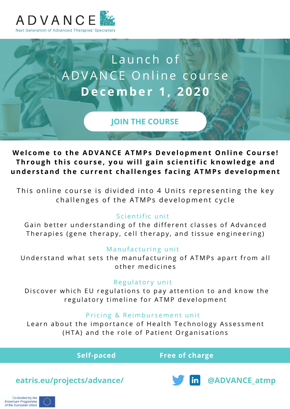

# Launch of A D V A N C E Online course **D e c e m b e r 1 , 2 0 2 0**

**[JOIN THE COURSE](https://elearning.elevatehealth.eu/orderdirect/simple_enrol/1355)**

Welcome to the ADVANCE ATMPs Development Online Course! Through this course, you will gain scientific knowledge and understand the current challenges facing ATMPs development

This online course is divided into 4 Units representing the key challenges of the ATMPs development cycle

## Scientific unit

Gain better understanding of the different classes of Advanced Therapies (gene therapy, cell therapy, and tissue engineering)

## Manufacturing unit

Understand what sets the manufacturing of ATMPs apart from all o ther medicines

## Regulatory unit

Discover which EU regulations to pay attention to and know the regulatory timeline for ATMP development

## Pricing & Reimbursement unit

Learn about the importance of Health Technology Assessment (HTA) and the role of Patient Organisations

**Self-paced Free of charge**

**[eatris.eu/projects/advance/](https://eatris.eu/projects/advance/) and the state of the extra of the extra of the extra of the extra of the extra of the extra of the extra of the extra of the extra of the extra of the extra of the extra of the extra of the e** 

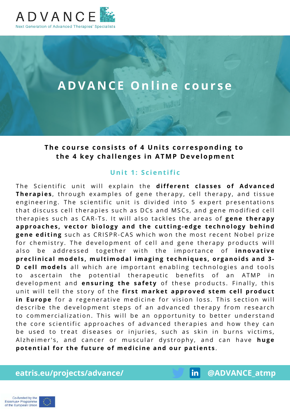

## **A D V A N C E O n l i n e c o u r s e**

#### The course consists of 4 Units corresponding to the 4 key challenges in ATMP Development

#### **Unit 1: Scientific**

The Scientific unit will explain the different classes of Advanced Therapies, through examples of gene therapy, cell therapy, and tissue engineering. The scientific unit is divided into 5 expert presentations that discuss cell therapies such as DCs and MSCs, and gene modified cell therapies such as CAR-Ts. It will also tackles the areas of **gene therapy** approaches, vector biology and the cutting-edge technology behind **gene editing** such as CRISPR-CAS which won the most recent Nobel prize for chemistry. The development of cell and gene therapy products will also be addressed together with the importance of **innovative** preclinical models, multimodal imaging techniques, organoids and 3-**D cell models** all which are important enabling technologies and tools to ascertain the potential therapeutic benefits of an ATMP in development and ensuring the safety of these products. Finally, this unit will tell the story of the first market approved stem cell product in Europe for a regenerative medicine for vision loss. This section will describe the development steps of an advanced therapy from research to commercialization. This will be an opportunity to better understand the core scientific approaches of advanced therapies and how they can be used to treat diseases or injuries, such as skin in burns victims, Alzheimer's, and cancer or muscular dystrophy, and can have huge potential for the future of medicine and our patients.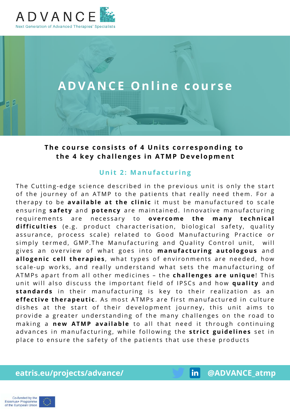



### The course consists of 4 Units corresponding to the 4 key challenges in ATMP Development

#### **Unit 2: Manufacturing**

The Cutting-edge science described in the previous unit is only the start of the journey of an ATMP to the patients that really need them. For a therapy to be **available at the clinic** it must be manufactured to scale ensuring safety and potency are maintained. Innovative manufacturing requirements are necessary to **overcome the many technical** difficulties (e.g. product characterisation, biological safety, quality assurance, process scale) related to Good Manufacturing Practice or simply termed, GMP. The Manufacturing and Quality Control unit, will gives an overview of what goes into manufacturing autologous and allogenic cell therapies, what types of environments are needed, how scale-up works, and really understand what sets the manufacturing of A T M P s a part from all other medicines - the **challenges are unique!** This unit will also discuss the important field of IPSCs and how quality and standards in their manufacturing is key to their realization as an **effective therapeutic**. As most ATMPs are first manufactured in culture dishes at the start of their development journey, this unit aims to provide a greater understanding of the many challenges on the road to making a new ATMP available to all that need it through continuing advances in manufacturing, while following the **strict guidelines** set in place to ensure the safety of the patients that use these products

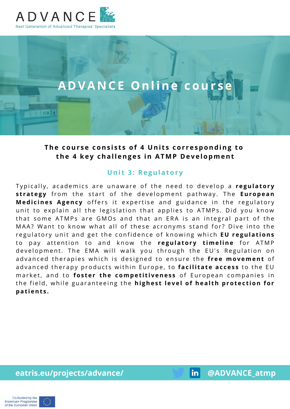

ाना

## **ADVANCE Online cour**

## The course consists of 4 Units corresponding to the 4 key challenges in ATMP Development

#### **Unit 3: Regulatory**

Typically, academics are unaware of the need to develop a regulatory **strategy** from the start of the development pathway. The **European Medicines Agency** offers it expertise and guidance in the regulatory unit to explain all the legislation that applies to ATMPs. Did you know that some ATMPs are GMOs and that an ERA is an integral part of the MAA? Want to know what all of these acronyms stand for? Dive into the regulatory unit and get the confidence of knowing which EU regulations to pay attention to and know the regulatory timeline for ATMP development. The EMA will walk you through the EU's Regulation on advanced therapies which is designed to ensure the free movement of advanced therapy products within Europe, to **facilitate access** to the EU market, and to **foster the competitiveness** of European companies in the field, while guaranteeing the **highest level of health protection for p a t i e n t s .**